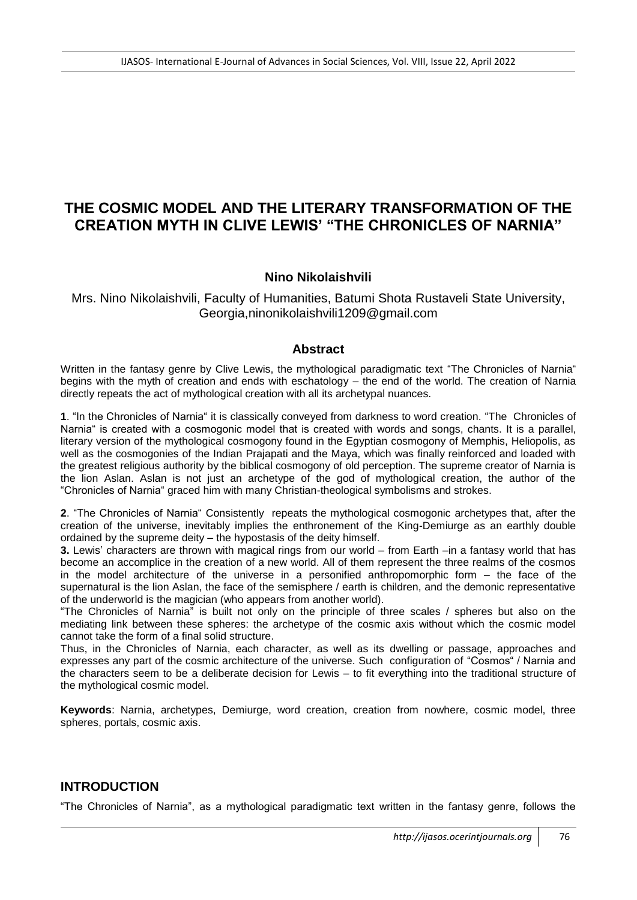# **THE COSMIC MODEL AND THE LITERARY TRANSFORMATION OF THE CREATION MYTH IN CLIVE LEWIS' "THE CHRONICLES OF NARNIA"**

# **Nino Nikolaishvili**

Mrs. Nino Nikolaishvili, Faculty of Humanities, Batumi Shota Rustaveli State University, Georgia,ninonikolaishvili1209@gmail.com

#### **Abstract**

Written in the fantasy genre by Clive Lewis, the mythological paradigmatic text "The Chronicles of Narnia" begins with the myth of creation and ends with eschatology – the end of the world. The creation of Narnia directly repeats the act of mythological creation with all its archetypal nuances.

**1**. "In the Chronicles of Narnia" it is classically conveyed from darkness to word creation. "The Chronicles of Narnia" is created with a cosmogonic model that is created with words and songs, chants, It is a parallel, literary version of the mythological cosmogony found in the Egyptian cosmogony of Memphis, Heliopolis, as well as the cosmogonies of the Indian Prajapati and the Maya, which was finally reinforced and loaded with the greatest religious authority by the biblical cosmogony of old perception. The supreme creator of Narnia is the lion Aslan. Aslan is not just an archetype of the god of mythological creation, the author of the "Chronicles of Narnia" graced him with many Christian-theological symbolisms and strokes.

**2**. "The Chronicles of Narnia" Consistently repeats the mythological cosmogonic archetypes that, after the creation of the universe, inevitably implies the enthronement of the King-Demiurge as an earthly double ordained by the supreme deity – the hypostasis of the deity himself.

**3.** Lewis' characters are thrown with magical rings from our world – from Earth –in a fantasy world that has become an accomplice in the creation of a new world. All of them represent the three realms of the cosmos in the model architecture of the universe in a personified anthropomorphic form – the face of the supernatural is the lion Aslan, the face of the semisphere / earth is children, and the demonic representative of the underworld is the magician (who appears from another world).

"The Chronicles of Narnia" is built not only on the principle of three scales / spheres but also on the mediating link between these spheres: the archetype of the cosmic axis without which the cosmic model cannot take the form of a final solid structure.

Thus, in the Chronicles of Narnia, each character, as well as its dwelling or passage, approaches and expresses any part of the cosmic architecture of the universe. Such configuration of "Cosmos" / Narnia and the characters seem to be a deliberate decision for Lewis – to fit everything into the traditional structure of the mythological cosmic model.

**Keywords**: Narnia, archetypes, Demiurge, word creation, creation from nowhere, cosmic model, three spheres, portals, cosmic axis.

# **INTRODUCTION**

"The Chronicles of Narnia", as a mythological paradigmatic text written in the fantasy genre, follows the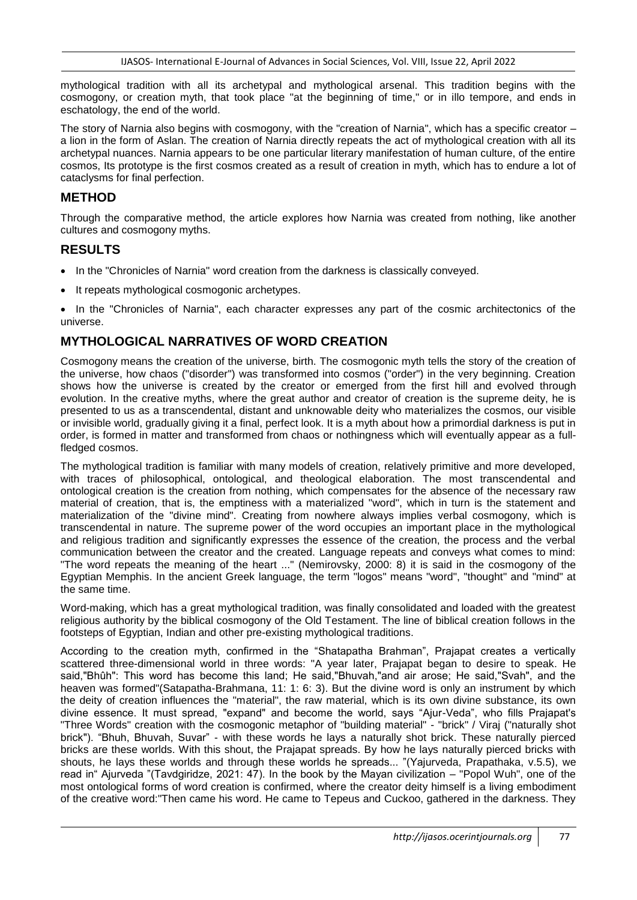mythological tradition with all its archetypal and mythological arsenal. This tradition begins with the cosmogony, or creation myth, that took place "at the beginning of time," or in illo tempore, and ends in eschatology, the end of the world.

The story of Narnia also begins with cosmogony, with the "creation of Narnia", which has a specific creator – a lion in the form of Aslan. The creation of Narnia directly repeats the act of mythological creation with all its archetypal nuances. Narnia appears to be one particular literary manifestation of human culture, of the entire cosmos, Its prototype is the first cosmos created as a result of creation in myth, which has to endure a lot of cataclysms for final perfection.

### **METHOD**

Through the comparative method, the article explores how Narnia was created from nothing, like another cultures and cosmogony myths.

#### **RESULTS**

- In the "Chronicles of Narnia" word creation from the darkness is classically conveyed.
- It repeats mythological cosmogonic archetypes.
- In the "Chronicles of Narnia", each character expresses any part of the cosmic architectonics of the universe.

# **MYTHOLOGICAL NARRATIVES OF WORD CREATION**

Cosmogony means the creation of the universe, birth. The cosmogonic myth tells the story of the creation of the universe, how chaos ("disorder") was transformed into cosmos ("order") in the very beginning. Creation shows how the universe is created by the creator or emerged from the first hill and evolved through evolution. In the creative myths, where the great author and creator of creation is the supreme deity, he is presented to us as a transcendental, distant and unknowable deity who materializes the cosmos, our visible or invisible world, gradually giving it a final, perfect look. It is a myth about how a primordial darkness is put in order, is formed in matter and transformed from chaos or nothingness which will eventually appear as a fullfledged cosmos.

The mythological tradition is familiar with many models of creation, relatively primitive and more developed, with traces of philosophical, ontological, and theological elaboration. The most transcendental and ontological creation is the creation from nothing, which compensates for the absence of the necessary raw material of creation, that is, the emptiness with a materialized "word", which in turn is the statement and materialization of the "divine mind". Creating from nowhere always implies verbal cosmogony, which is transcendental in nature. The supreme power of the word occupies an important place in the mythological and religious tradition and significantly expresses the essence of the creation, the process and the verbal communication between the creator and the created. Language repeats and conveys what comes to mind: "The word repeats the meaning of the heart ..." (Nemirovsky, 2000: 8) it is said in the cosmogony of the Egyptian Memphis. In the ancient Greek language, the term "logos" means "word", "thought" and "mind" at the same time.

Word-making, which has a great mythological tradition, was finally consolidated and loaded with the greatest religious authority by the biblical cosmogony of the Old Testament. The line of biblical creation follows in the footsteps of Egyptian, Indian and other pre-existing mythological traditions.

According to the creation myth, confirmed in the "Shatapatha Brahman", Prajapat creates a vertically scattered three-dimensional world in three words: "A year later, Prajapat began to desire to speak. He said,"Bhûh": This word has become this land; He said,"Bhuvah,"and air arose; He said,"Svah", and the heaven was formed"(Satapatha-Brahmana, 11: 1: 6: 3). But the divine word is only an instrument by which the deity of creation influences the "material", the raw material, which is its own divine substance, its own divine essence. It must spread, "expand" and become the world, says "Ajur-Veda", who fills Prajapat's "Three Words" creation with the cosmogonic metaphor of "building material" - "brick" / Viraj ("naturally shot brick"). "Bhuh, Bhuvah, Suvar" - with these words he lays a naturally shot brick. These naturally pierced bricks are these worlds. With this shout, the Prajapat spreads. By how he lays naturally pierced bricks with shouts, he lays these worlds and through these worlds he spreads... "(Yajurveda, Prapathaka, v.5.5), we read in" Ajurveda "(Tavdgiridze, 2021: 47). In the book by the Mayan civilization – "Popol Wuh", one of the most ontological forms of word creation is confirmed, where the creator deity himself is a living embodiment of the creative word:"Then came his word. He came to Tepeus and Cuckoo, gathered in the darkness. They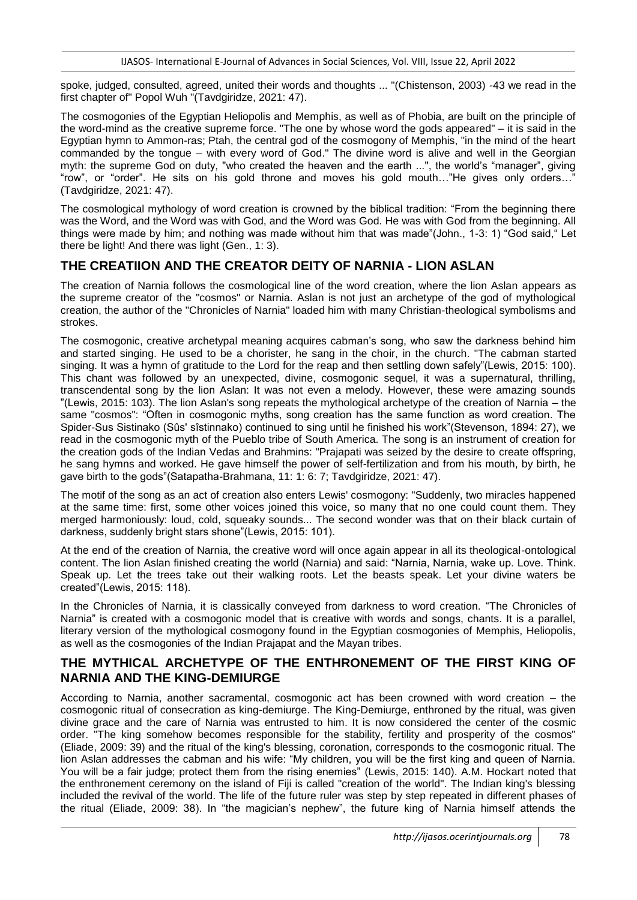spoke, judged, consulted, agreed, united their words and thoughts ... "(Chistenson, 2003) -43 we read in the first chapter of" Popol Wuh "(Tavdgiridze, 2021: 47).

The cosmogonies of the Egyptian Heliopolis and Memphis, as well as of Phobia, are built on the principle of the word-mind as the creative supreme force. "The one by whose word the gods appeared" – it is said in the Egyptian hymn to Ammon-ras; Ptah, the central god of the cosmogony of Memphis, "in the mind of the heart commanded by the tongue – with every word of God." The divine word is alive and well in the Georgian myth: the supreme God on duty, "who created the heaven and the earth ...", the world's "manager", giving "row", or "order". He sits on his gold throne and moves his gold mouth…"He gives only orders…" (Tavdgiridze, 2021: 47).

The cosmological mythology of word creation is crowned by the biblical tradition: "From the beginning there was the Word, and the Word was with God, and the Word was God. He was with God from the beginning. All things were made by him; and nothing was made without him that was made"(John., 1-3: 1) "God said," Let there be light! And there was light (Gen., 1: 3).

# **THE CREATIION AND THE CREATOR DEITY OF NARNIA - LION ASLAN**

The creation of Narnia follows the cosmological line of the word creation, where the lion Aslan appears as the supreme creator of the "cosmos" or Narnia. Aslan is not just an archetype of the god of mythological creation, the author of the "Chronicles of Narnia" loaded him with many Christian-theological symbolisms and strokes.

The cosmogonic, creative archetypal meaning acquires cabman's song, who saw the darkness behind him and started singing. He used to be a chorister, he sang in the choir, in the church. "The cabman started singing. It was a hymn of gratitude to the Lord for the reap and then settling down safely"(Lewis, 2015: 100). This chant was followed by an unexpected, divine, cosmogonic sequel, it was a supernatural, thrilling, transcendental song by the lion Aslan: It was not even a melody. However, these were amazing sounds "(Lewis, 2015: 103). The lion Aslan's song repeats the mythological archetype of the creation of Narnia – the same "cosmos": "Often in cosmogonic myths, song creation has the same function as word creation. The Spider-Sus Sistinako (Sûs' sîstinnako) continued to sing until he finished his work"(Stevenson, 1894: 27), we read in the cosmogonic myth of the Pueblo tribe of South America. The song is an instrument of creation for the creation gods of the Indian Vedas and Brahmins: "Prajapati was seized by the desire to create offspring, he sang hymns and worked. He gave himself the power of self-fertilization and from his mouth, by birth, he gave birth to the gods"(Satapatha-Brahmana, 11: 1: 6: 7; Tavdgiridze, 2021: 47).

The motif of the song as an act of creation also enters Lewis' cosmogony: "Suddenly, two miracles happened at the same time: first, some other voices joined this voice, so many that no one could count them. They merged harmoniously: loud, cold, squeaky sounds... The second wonder was that on their black curtain of darkness, suddenly bright stars shone"(Lewis, 2015: 101).

At the end of the creation of Narnia, the creative word will once again appear in all its theological-ontological content. The lion Aslan finished creating the world (Narnia) and said: "Narnia, Narnia, wake up. Love. Think. Speak up. Let the trees take out their walking roots. Let the beasts speak. Let your divine waters be created"(Lewis, 2015: 118).

In the Chronicles of Narnia, it is classically conveyed from darkness to word creation. "The Chronicles of Narnia" is created with a cosmogonic model that is creative with words and songs, chants. It is a parallel, literary version of the mythological cosmogony found in the Egyptian cosmogonies of Memphis, Heliopolis, as well as the cosmogonies of the Indian Prajapat and the Mayan tribes.

### **THE MYTHICAL ARCHETYPE OF THE ENTHRONEMENT OF THE FIRST KING OF NARNIA AND THE KING-DEMIURGE**

According to Narnia, another sacramental, cosmogonic act has been crowned with word creation – the cosmogonic ritual of consecration as king-demiurge. The King-Demiurge, enthroned by the ritual, was given divine grace and the care of Narnia was entrusted to him. It is now considered the center of the cosmic order. "The king somehow becomes responsible for the stability, fertility and prosperity of the cosmos" (Eliade, 2009: 39) and the ritual of the king's blessing, coronation, corresponds to the cosmogonic ritual. The lion Aslan addresses the cabman and his wife: "My children, you will be the first king and queen of Narnia. You will be a fair judge; protect them from the rising enemies" (Lewis, 2015: 140). A.M. Hockart noted that the enthronement ceremony on the island of Fiji is called "creation of the world". The Indian king's blessing included the revival of the world. The life of the future ruler was step by step repeated in different phases of the ritual (Eliade, 2009: 38). In "the magician's nephew", the future king of Narnia himself attends the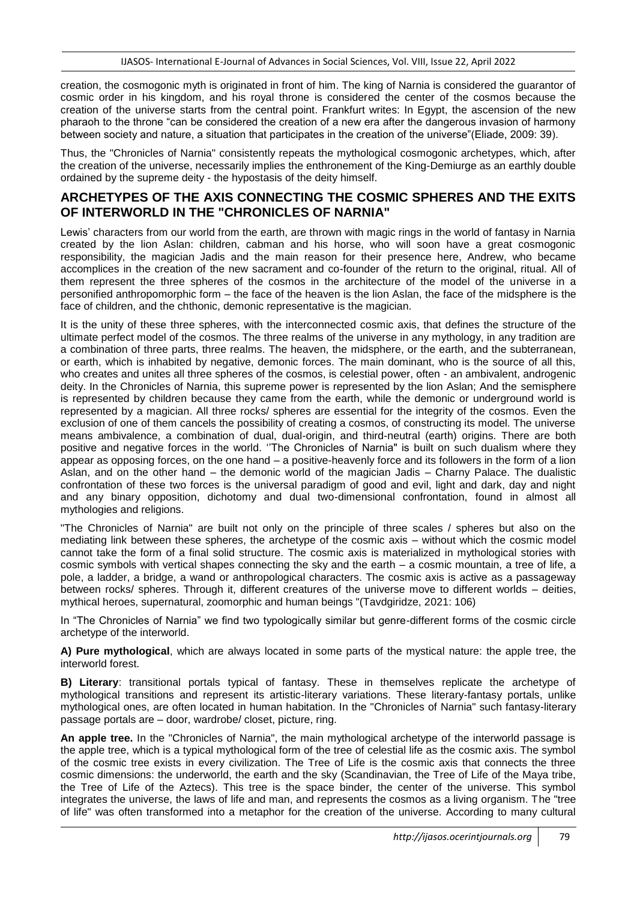creation, the cosmogonic myth is originated in front of him. The king of Narnia is considered the guarantor of cosmic order in his kingdom, and his royal throne is considered the center of the cosmos because the creation of the universe starts from the central point. Frankfurt writes: In Egypt, the ascension of the new pharaoh to the throne "can be considered the creation of a new era after the dangerous invasion of harmony between society and nature, a situation that participates in the creation of the universe"(Eliade, 2009: 39).

Thus, the "Chronicles of Narnia" consistently repeats the mythological cosmogonic archetypes, which, after the creation of the universe, necessarily implies the enthronement of the King-Demiurge as an earthly double ordained by the supreme deity - the hypostasis of the deity himself.

# **ARCHETYPES OF THE AXIS CONNECTING THE COSMIC SPHERES AND THE EXITS OF INTERWORLD IN THE "CHRONICLES OF NARNIA"**

Lewis' characters from our world from the earth, are thrown with magic rings in the world of fantasy in Narnia created by the lion Aslan: children, cabman and his horse, who will soon have a great cosmogonic responsibility, the magician Jadis and the main reason for their presence here, Andrew, who became accomplices in the creation of the new sacrament and co-founder of the return to the original, ritual. All of them represent the three spheres of the cosmos in the architecture of the model of the universe in a personified anthropomorphic form – the face of the heaven is the lion Aslan, the face of the midsphere is the face of children, and the chthonic, demonic representative is the magician.

It is the unity of these three spheres, with the interconnected cosmic axis, that defines the structure of the ultimate perfect model of the cosmos. The three realms of the universe in any mythology, in any tradition are a combination of three parts, three realms. The heaven, the midsphere, or the earth, and the subterranean, or earth, which is inhabited by negative, demonic forces. The main dominant, who is the source of all this, who creates and unites all three spheres of the cosmos, is celestial power, often - an ambivalent, androgenic deity. In the Chronicles of Narnia, this supreme power is represented by the lion Aslan; And the semisphere is represented by children because they came from the earth, while the demonic or underground world is represented by a magician. All three rocks/ spheres are essential for the integrity of the cosmos. Even the exclusion of one of them cancels the possibility of creating a cosmos, of constructing its model. The universe means ambivalence, a combination of dual, dual-origin, and third-neutral (earth) origins. There are both positive and negative forces in the world. ''The Chronicles of Narnia" is built on such dualism where they appear as opposing forces, on the one hand – a positive-heavenly force and its followers in the form of a lion Aslan, and on the other hand – the demonic world of the magician Jadis – Charny Palace. The dualistic confrontation of these two forces is the universal paradigm of good and evil, light and dark, day and night and any binary opposition, dichotomy and dual two-dimensional confrontation, found in almost all mythologies and religions.

"The Chronicles of Narnia" are built not only on the principle of three scales / spheres but also on the mediating link between these spheres, the archetype of the cosmic axis – without which the cosmic model cannot take the form of a final solid structure. The cosmic axis is materialized in mythological stories with cosmic symbols with vertical shapes connecting the sky and the earth – a cosmic mountain, a tree of life, a pole, a ladder, a bridge, a wand or anthropological characters. The cosmic axis is active as a passageway between rocks/ spheres. Through it, different creatures of the universe move to different worlds – deities, mythical heroes, supernatural, zoomorphic and human beings "(Tavdgiridze, 2021: 106)

In "The Chronicles of Narnia" we find two typologically similar but genre-different forms of the cosmic circle archetype of the interworld.

**A) Pure mythological**, which are always located in some parts of the mystical nature: the apple tree, the interworld forest.

**B) Literary**: transitional portals typical of fantasy. These in themselves replicate the archetype of mythological transitions and represent its artistic-literary variations. These literary-fantasy portals, unlike mythological ones, are often located in human habitation. In the "Chronicles of Narnia" such fantasy-literary passage portals are – door, wardrobe/ closet, picture, ring.

**An apple tree.** In the "Chronicles of Narnia", the main mythological archetype of the interworld passage is the apple tree, which is a typical mythological form of the tree of celestial life as the cosmic axis. The symbol of the cosmic tree exists in every civilization. The Tree of Life is the cosmic axis that connects the three cosmic dimensions: the underworld, the earth and the sky (Scandinavian, the Tree of Life of the Maya tribe, the Tree of Life of the Aztecs). This tree is the space binder, the center of the universe. This symbol integrates the universe, the laws of life and man, and represents the cosmos as a living organism. The "tree of life" was often transformed into a metaphor for the creation of the universe. According to many cultural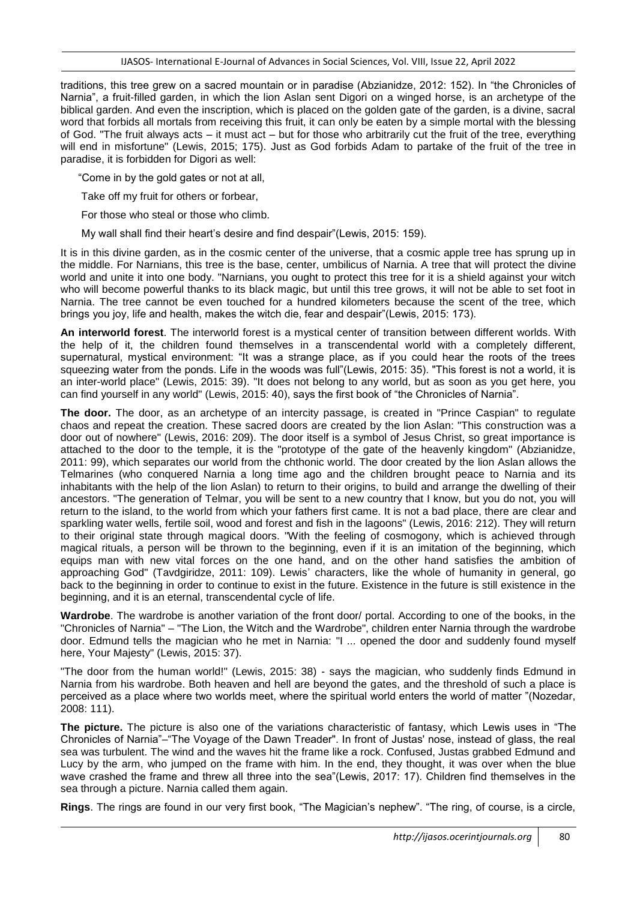traditions, this tree grew on a sacred mountain or in paradise (Abzianidze, 2012: 152). In "the Chronicles of Narnia", a fruit-filled garden, in which the lion Aslan sent Digori on a winged horse, is an archetype of the biblical garden. And even the inscription, which is placed on the golden gate of the garden, is a divine, sacral word that forbids all mortals from receiving this fruit, it can only be eaten by a simple mortal with the blessing of God. "The fruit always acts – it must act – but for those who arbitrarily cut the fruit of the tree, everything will end in misfortune" (Lewis, 2015; 175). Just as God forbids Adam to partake of the fruit of the tree in paradise, it is forbidden for Digori as well:

"Come in by the gold gates or not at all,

Take off my fruit for others or forbear,

For those who steal or those who climb.

My wall shall find their heart's desire and find despair"(Lewis, 2015: 159).

It is in this divine garden, as in the cosmic center of the universe, that a cosmic apple tree has sprung up in the middle. For Narnians, this tree is the base, center, umbilicus of Narnia. A tree that will protect the divine world and unite it into one body. "Narnians, you ought to protect this tree for it is a shield against your witch who will become powerful thanks to its black magic, but until this tree grows, it will not be able to set foot in Narnia. The tree cannot be even touched for a hundred kilometers because the scent of the tree, which brings you joy, life and health, makes the witch die, fear and despair"(Lewis, 2015: 173).

**An interworld forest**. The interworld forest is a mystical center of transition between different worlds. With the help of it, the children found themselves in a transcendental world with a completely different, supernatural, mystical environment: "It was a strange place, as if you could hear the roots of the trees squeezing water from the ponds. Life in the woods was full"(Lewis, 2015: 35). "This forest is not a world, it is an inter-world place" (Lewis, 2015: 39). "It does not belong to any world, but as soon as you get here, you can find yourself in any world" (Lewis, 2015: 40), says the first book of "the Chronicles of Narnia".

**The door.** The door, as an archetype of an intercity passage, is created in "Prince Caspian" to regulate chaos and repeat the creation. These sacred doors are created by the lion Aslan: "This construction was a door out of nowhere" (Lewis, 2016: 209). The door itself is a symbol of Jesus Christ, so great importance is attached to the door to the temple, it is the "prototype of the gate of the heavenly kingdom" (Abzianidze, 2011: 99), which separates our world from the chthonic world. The door created by the lion Aslan allows the Telmarines (who conquered Narnia a long time ago and the children brought peace to Narnia and its inhabitants with the help of the lion Aslan) to return to their origins, to build and arrange the dwelling of their ancestors. "The generation of Telmar, you will be sent to a new country that I know, but you do not, you will return to the island, to the world from which your fathers first came. It is not a bad place, there are clear and sparkling water wells, fertile soil, wood and forest and fish in the lagoons" (Lewis, 2016: 212). They will return to their original state through magical doors. "With the feeling of cosmogony, which is achieved through magical rituals, a person will be thrown to the beginning, even if it is an imitation of the beginning, which equips man with new vital forces on the one hand, and on the other hand satisfies the ambition of approaching God" (Tavdgiridze, 2011: 109). Lewis' characters, like the whole of humanity in general, go back to the beginning in order to continue to exist in the future. Existence in the future is still existence in the beginning, and it is an eternal, transcendental cycle of life.

**Wardrobe**. The wardrobe is another variation of the front door/ portal. According to one of the books, in the "Chronicles of Narnia" – "The Lion, the Witch and the Wardrobe", children enter Narnia through the wardrobe door. Edmund tells the magician who he met in Narnia: "I ... opened the door and suddenly found myself here, Your Majesty" (Lewis, 2015: 37).

"The door from the human world!" (Lewis, 2015: 38) - says the magician, who suddenly finds Edmund in Narnia from his wardrobe. Both heaven and hell are beyond the gates, and the threshold of such a place is perceived as a place where two worlds meet, where the spiritual world enters the world of matter "(Nozedar, 2008: 111).

**The picture.** The picture is also one of the variations characteristic of fantasy, which Lewis uses in "The Chronicles of Narnia"–"The Voyage of the Dawn Treader". In front of Justas' nose, instead of glass, the real sea was turbulent. The wind and the waves hit the frame like a rock. Confused, Justas grabbed Edmund and Lucy by the arm, who jumped on the frame with him. In the end, they thought, it was over when the blue wave crashed the frame and threw all three into the sea"(Lewis, 2017: 17). Children find themselves in the sea through a picture. Narnia called them again.

**Rings**. The rings are found in our very first book, "The Magician's nephew". "The ring, of course, is a circle,